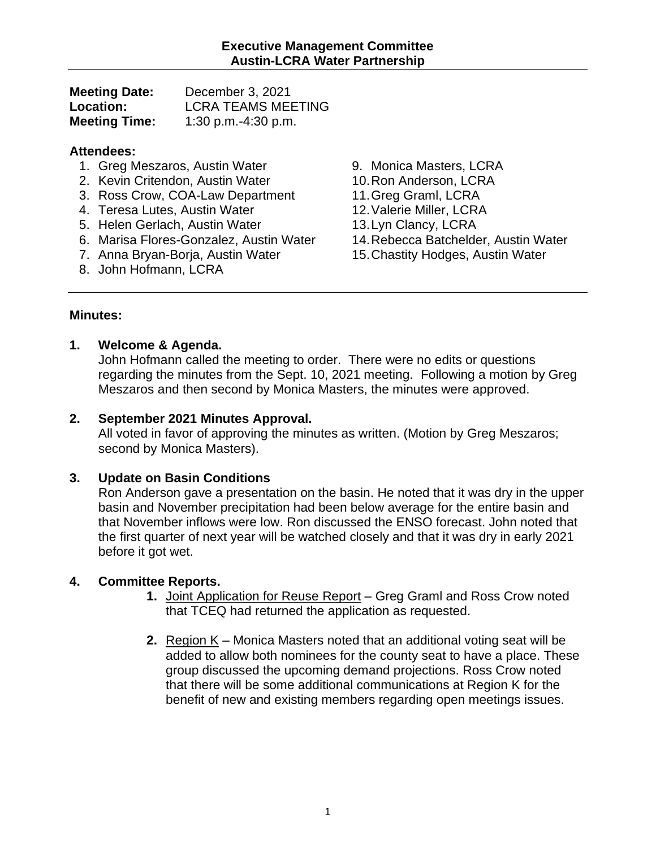| <b>Meeting Date:</b> | December 3, 2021          |
|----------------------|---------------------------|
| <b>Location:</b>     | <b>LCRA TEAMS MEETING</b> |
| <b>Meeting Time:</b> | 1:30 p.m.-4:30 p.m.       |

#### **Attendees:**

- 1. Greg Meszaros, Austin Water
- 2. Kevin Critendon, Austin Water
- 3. Ross Crow, COA-Law Department
- 4. Teresa Lutes, Austin Water
- 5. Helen Gerlach, Austin Water
- 6. Marisa Flores-Gonzalez, Austin Water
- 7. Anna Bryan-Borja, Austin Water
- 8. John Hofmann, LCRA
- 9. Monica Masters, LCRA
- 10.Ron Anderson, LCRA
- 11.Greg Graml, LCRA
- 12.Valerie Miller, LCRA
- 13.Lyn Clancy, LCRA
- 14.Rebecca Batchelder, Austin Water
- 15.Chastity Hodges, Austin Water

#### **Minutes:**

#### **1. Welcome & Agenda.**

John Hofmann called the meeting to order. There were no edits or questions regarding the minutes from the Sept. 10, 2021 meeting. Following a motion by Greg Meszaros and then second by Monica Masters, the minutes were approved.

### **2. September 2021 Minutes Approval.**

All voted in favor of approving the minutes as written. (Motion by Greg Meszaros; second by Monica Masters).

# **3. Update on Basin Conditions**

Ron Anderson gave a presentation on the basin. He noted that it was dry in the upper basin and November precipitation had been below average for the entire basin and that November inflows were low. Ron discussed the ENSO forecast. John noted that the first quarter of next year will be watched closely and that it was dry in early 2021 before it got wet.

# **4. Committee Reports.**

- **1.** Joint Application for Reuse Report Greg Graml and Ross Crow noted that TCEQ had returned the application as requested.
- **2.** Region K Monica Masters noted that an additional voting seat will be added to allow both nominees for the county seat to have a place. These group discussed the upcoming demand projections. Ross Crow noted that there will be some additional communications at Region K for the benefit of new and existing members regarding open meetings issues.